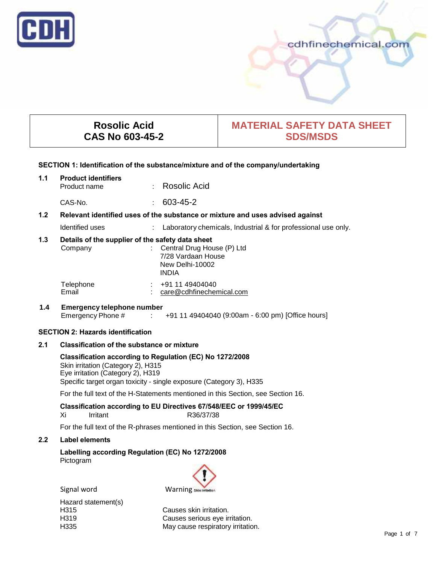

# cdhfinechemical.com

# **Rosolic Acid CAS No 603-45-2**

# **MATERIAL SAFETY DATA SHEET SDS/MSDS**

#### **SECTION 1: Identification of the substance/mixture and of the company/undertaking**

# **1.1 Product identifiers** · Rosolic Acid

CAS-No. : 603-45-2

# **1.2 Relevant identified uses of the substance or mixture and uses advised against**

Identified uses : Laboratory chemicals, Industrial & for professional use only.

# **1.3 Details of the supplier of the safety data sheet**

| Company            | : Central Drug House $(P)$ Ltd<br>7/28 Vardaan House<br>New Delhi-10002<br><b>INDIA</b> |
|--------------------|-----------------------------------------------------------------------------------------|
| Telephone<br>Email | +91 11 49404040<br>$\sim$<br>care@cdhfinechemical.com                                   |

# **1.4 Emergency telephone number** Emergency Phone # : +91 11 49404040 (9:00am - 6:00 pm) [Office hours]

## **SECTION 2: Hazards identification**

# **2.1 Classification of the substance or mixture**

### **Classification according to Regulation (EC) No 1272/2008** Skin irritation (Category 2), H315 Eye irritation (Category 2), H319

Specific target organ toxicity - single exposure (Category 3), H335

For the full text of the H-Statements mentioned in this Section, see Section 16.

# **Classification according to EU Directives 67/548/EEC or 1999/45/EC**

Xi Irritant R36/37/38

For the full text of the R-phrases mentioned in this Section, see Section 16.

## **2.2 Label elements**

# **Labelling according Regulation (EC) No 1272/2008** Pictogram



Signal word Warning 5Mnim

Hazard statement(s)<br>H315

Causes skin irritation. H319 Causes serious eye irritation.<br>H335 May cause respiratory irritation. May cause respiratory irritation.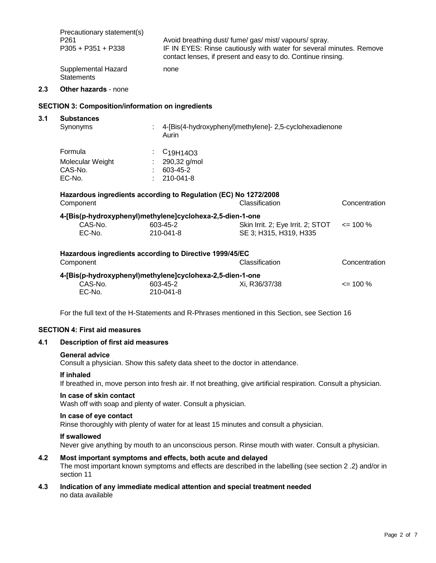| Precautionary statement(s)        | Avoid breathing dust/ fume/ gas/ mist/ vapours/ spray.              |
|-----------------------------------|---------------------------------------------------------------------|
| P <sub>261</sub>                  | IF IN EYES: Rinse cautiously with water for several minutes. Remove |
| $P305 + P351 + P338$              | contact lenses, if present and easy to do. Continue rinsing.        |
| Supplemental Hazard<br>Statements | none                                                                |

#### **2.3 Other hazards** - none

## **SECTION 3: Composition/information on ingredients**

| <b>Substances</b>                                                    |                           |                                                |                                                         |               |
|----------------------------------------------------------------------|---------------------------|------------------------------------------------|---------------------------------------------------------|---------------|
| Synonyms                                                             | ÷                         | Aurin                                          | 4-[Bis(4-hydroxyphenyl)methylene]- 2,5-cyclohexadienone |               |
| Formula                                                              | $\mathbb{Z}^{\mathbb{Z}}$ | C <sub>19</sub> H <sub>14</sub> O <sub>3</sub> |                                                         |               |
| Molecular Weight                                                     |                           | 290,32 g/mol                                   |                                                         |               |
| CAS-No.                                                              |                           | 603-45-2                                       |                                                         |               |
| EC-No.                                                               |                           | 210-041-8                                      |                                                         |               |
| 4-[Bis(p-hydroxyphenyl)methylene]cyclohexa-2,5-dien-1-one<br>CAS-No. |                           | 603-45-2                                       | Skin Irrit. 2; Eye Irrit. 2; STOT                       | $\leq$ 100 %  |
| EC-No.                                                               |                           | 210-041-8                                      | SE 3; H315, H319, H335                                  |               |
| Hazardous ingredients according to Directive 1999/45/EC<br>Component |                           |                                                | <b>Classification</b>                                   | Concentration |
|                                                                      |                           |                                                |                                                         |               |
| 4-[Bis(p-hydroxyphenyl)methylene]cyclohexa-2,5-dien-1-one            |                           |                                                |                                                         |               |
| CAS-No.                                                              |                           | 603-45-2                                       | Xi, R36/37/38                                           | $\leq$ 100 %  |
| EC-No.                                                               |                           | 210-041-8                                      |                                                         |               |

For the full text of the H-Statements and R-Phrases mentioned in this Section, see Section 16

## **SECTION 4: First aid measures**

## **4.1 Description of first aid measures**

#### **General advice**

Consult a physician. Show this safety data sheet to the doctor in attendance.

#### **If inhaled**

If breathed in, move person into fresh air. If not breathing, give artificial respiration. Consult a physician.

# **In case of skin contact**

Wash off with soap and plenty of water. Consult a physician.

## **In case of eye contact**

Rinse thoroughly with plenty of water for at least 15 minutes and consult a physician.

### **If swallowed**

Never give anything by mouth to an unconscious person. Rinse mouth with water. Consult a physician.

# **4.2 Most important symptoms and effects, both acute and delayed**

The most important known symptoms and effects are described in the labelling (see section 2 .2) and/or in section 11

**4.3 Indication of any immediate medical attention and special treatment needed** no data available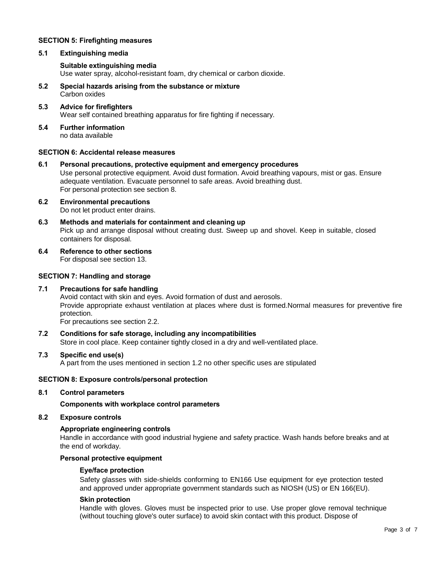# **SECTION 5: Firefighting measures**

### **5.1 Extinguishing media**

### **Suitable extinguishing media**

Use water spray, alcohol-resistant foam, dry chemical or carbon dioxide.

- **5.2 Special hazards arising from the substance or mixture** Carbon oxides
- **5.3 Advice for firefighters** Wear self contained breathing apparatus for fire fighting if necessary.
- **5.4 Further information** no data available

# **SECTION 6: Accidental release measures**

- **6.1 Personal precautions, protective equipment and emergency procedures** Use personal protective equipment. Avoid dust formation. Avoid breathing vapours, mist or gas. Ensure adequate ventilation. Evacuate personnel to safe areas. Avoid breathing dust. For personal protection see section 8.
- **6.2 Environmental precautions** Do not let product enter drains.
- **6.3 Methods and materials for containment and cleaning up** Pick up and arrange disposal without creating dust. Sweep up and shovel. Keep in suitable, closed containers for disposal.
- **6.4 Reference to other sections** For disposal see section 13.

# **SECTION 7: Handling and storage**

## **7.1 Precautions for safe handling**

Avoid contact with skin and eyes. Avoid formation of dust and aerosols. Provide appropriate exhaust ventilation at places where dust is formed.Normal measures for preventive fire protection.

For precautions see section 2.2.

**7.2 Conditions for safe storage, including any incompatibilities** Store in cool place. Keep container tightly closed in a dry and well-ventilated place.

# **7.3 Specific end use(s)**

A part from the uses mentioned in section 1.2 no other specific uses are stipulated

#### **SECTION 8: Exposure controls/personal protection**

### **8.1 Control parameters**

**Components with workplace control parameters**

#### **8.2 Exposure controls**

#### **Appropriate engineering controls**

Handle in accordance with good industrial hygiene and safety practice. Wash hands before breaks and at the end of workday.

#### **Personal protective equipment**

#### **Eye/face protection**

Safety glasses with side-shields conforming to EN166 Use equipment for eye protection tested and approved under appropriate government standards such as NIOSH (US) or EN 166(EU).

### **Skin protection**

Handle with gloves. Gloves must be inspected prior to use. Use proper glove removal technique (without touching glove's outer surface) to avoid skin contact with this product. Dispose of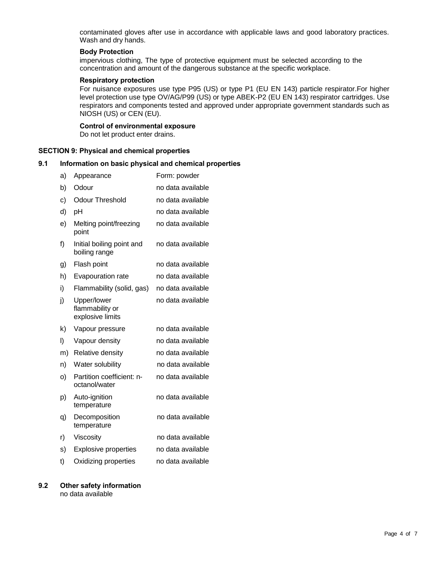contaminated gloves after use in accordance with applicable laws and good laboratory practices. Wash and dry hands.

### **Body Protection**

impervious clothing, The type of protective equipment must be selected according to the concentration and amount of the dangerous substance at the specific workplace.

# **Respiratory protection**

For nuisance exposures use type P95 (US) or type P1 (EU EN 143) particle respirator.For higher level protection use type OV/AG/P99 (US) or type ABEK-P2 (EU EN 143) respirator cartridges. Use respirators and components tested and approved under appropriate government standards such as NIOSH (US) or CEN (EU).

#### **Control of environmental exposure**

Do not let product enter drains.

#### **SECTION 9: Physical and chemical properties**

# **9.1 Information on basic physical and chemical properties**

| a) | Appearance                                         | Form: powder      |
|----|----------------------------------------------------|-------------------|
| b) | Odour                                              | no data available |
| c) | <b>Odour Threshold</b>                             | no data available |
| d) | pH                                                 | no data available |
| e) | Melting point/freezing<br>point                    | no data available |
| f) | Initial boiling point and<br>boiling range         | no data available |
| g) | Flash point                                        | no data available |
| h) | Evapouration rate                                  | no data available |
| i) | Flammability (solid, gas)                          | no data available |
| j) | Upper/lower<br>flammability or<br>explosive limits | no data available |
| k) | Vapour pressure                                    | no data available |
| I) | Vapour density                                     | no data available |
| m) | Relative density                                   | no data available |
| n) | Water solubility                                   | no data available |
| o) | Partition coefficient: n-<br>octanol/water         | no data available |
| p) | Auto-ignition<br>temperature                       | no data available |
| q) | Decomposition<br>temperature                       | no data available |
| r) | Viscosity                                          | no data available |
| s) | <b>Explosive properties</b>                        | no data available |
| t) | Oxidizing properties                               | no data available |

#### **9.2 Other safety information** no data available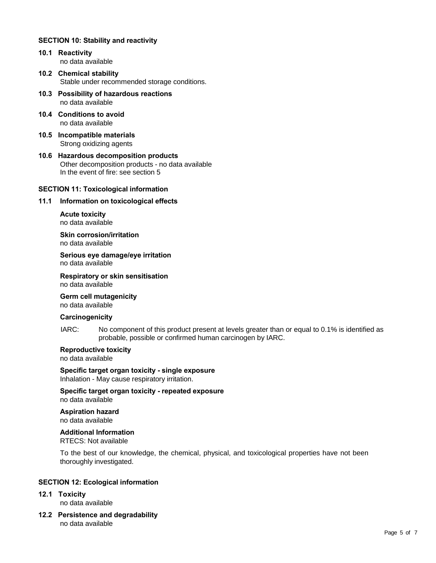# **SECTION 10: Stability and reactivity**

- **10.1 Reactivity** no data available
- **10.2 Chemical stability** Stable under recommended storage conditions.
- **10.3 Possibility of hazardous reactions** no data available
- **10.4 Conditions to avoid** no data available
- **10.5 Incompatible materials** Strong oxidizing agents
- **10.6 Hazardous decomposition products** Other decomposition products - no data available In the event of fire: see section 5

## **SECTION 11: Toxicological information**

## **11.1 Information on toxicological effects**

**Acute toxicity** no data available

**Skin corrosion/irritation** no data available

**Serious eye damage/eye irritation** no data available

**Respiratory or skin sensitisation** no data available

**Germ cell mutagenicity**

no data available

## **Carcinogenicity**

IARC: No component of this product present at levels greater than or equal to 0.1% is identified as probable, possible or confirmed human carcinogen by IARC.

# **Reproductive toxicity**

no data available

**Specific target organ toxicity - single exposure** Inhalation - May cause respiratory irritation.

**Specific target organ toxicity - repeated exposure** no data available

**Aspiration hazard** no data available

**Additional Information** RTECS: Not available

To the best of our knowledge, the chemical, physical, and toxicological properties have not been thoroughly investigated.

## **SECTION 12: Ecological information**

# **12.1 Toxicity**

no data available

**12.2 Persistence and degradability** no data available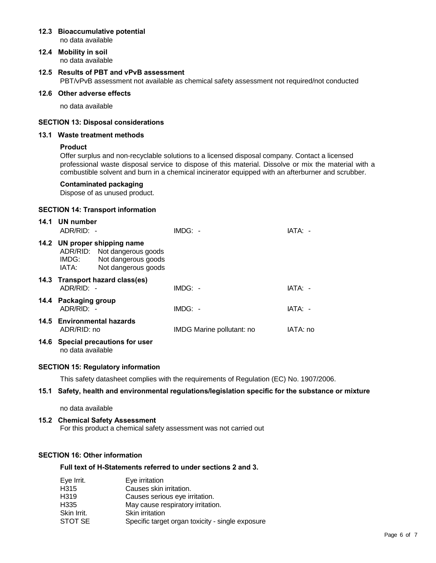#### **12.3 Bioaccumulative potential** no data available

**12.4 Mobility in soil** no data available

# **12.5 Results of PBT and vPvB assessment** PBT/vPvB assessment not available as chemical safety assessment not required/not conducted

# **12.6 Other adverse effects**

no data available

## **SECTION 13: Disposal considerations**

### **13.1 Waste treatment methods**

## **Product**

Offer surplus and non-recyclable solutions to a licensed disposal company. Contact a licensed professional waste disposal service to dispose of this material. Dissolve or mix the material with a combustible solvent and burn in a chemical incinerator equipped with an afterburner and scrubber.

## **Contaminated packaging**

Dispose of as unused product.

#### **SECTION 14: Transport information**

| 14.1 UN number<br>ADR/RID: -                                                                                                 | $IMDG: -$                 | IATA: -  |
|------------------------------------------------------------------------------------------------------------------------------|---------------------------|----------|
| 14.2 UN proper shipping name<br>ADR/RID: Not dangerous goods<br>Not dangerous goods<br>IMDG:<br>Not dangerous goods<br>IATA: |                           |          |
| 14.3 Transport hazard class(es)<br>$ADR/RID: -$                                                                              | $IMDG: -$                 | IATA: -  |
| 14.4 Packaging group<br>ADR/RID: -                                                                                           | $IMDG: -$                 | IATA: -  |
| 14.5 Environmental hazards<br>ADR/RID: no                                                                                    | IMDG Marine pollutant: no | IATA: no |
| 14.6 Special precautions for user<br>no data available                                                                       |                           |          |

## **SECTION 15: Regulatory information**

This safety datasheet complies with the requirements of Regulation (EC) No. 1907/2006.

# **15.1 Safety, health and environmental regulations/legislation specific for the substance or mixture**

no data available

# **15.2 Chemical Safety Assessment**

For this product a chemical safety assessment was not carried out

# **SECTION 16: Other information**

#### **Full text of H-Statements referred to under sections 2 and 3.**

| Eye Irrit.  | Eye irritation                                   |
|-------------|--------------------------------------------------|
| H315        | Causes skin irritation.                          |
| H319        | Causes serious eye irritation.                   |
| H335        | May cause respiratory irritation.                |
| Skin Irrit. | Skin irritation                                  |
| STOT SE     | Specific target organ toxicity - single exposure |